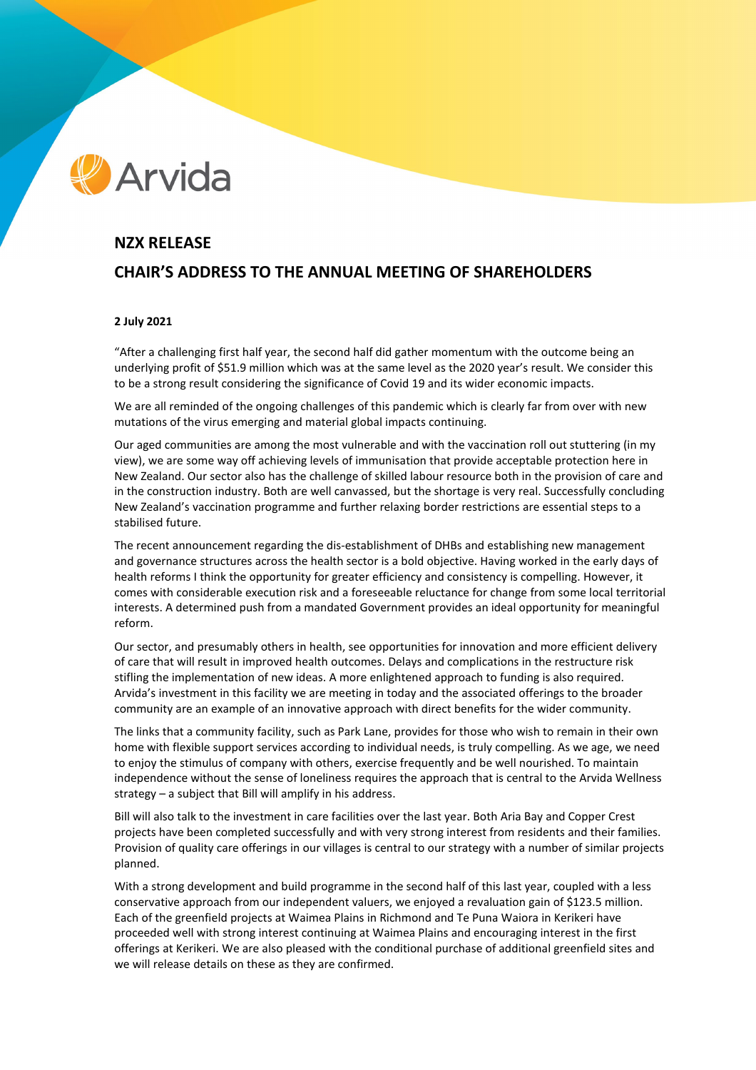# **Arvida**

## **NZX RELEASE CHAIR'S ADDRESS TO THE ANNUAL MEETING OF SHAREHOLDERS**

### **2 July 2021**

"After a challenging first half year, the second half did gather momentum with the outcome being an underlying profit of \$51.9 million which was at the same level as the 2020 year's result. We consider this to be a strong result considering the significance of Covid 19 and its wider economic impacts.

We are all reminded of the ongoing challenges of this pandemic which is clearly far from over with new mutations of the virus emerging and material global impacts continuing.

Our aged communities are among the most vulnerable and with the vaccination roll out stuttering (in my view), we are some way off achieving levels of immunisation that provide acceptable protection here in New Zealand. Our sector also has the challenge of skilled labour resource both in the provision of care and in the construction industry. Both are well canvassed, but the shortage is very real. Successfully concluding New Zealand's vaccination programme and further relaxing border restrictions are essential steps to a stabilised future.

The recent announcement regarding the dis-establishment of DHBs and establishing new management and governance structures across the health sector is a bold objective. Having worked in the early days of health reforms I think the opportunity for greater efficiency and consistency is compelling. However, it comes with considerable execution risk and a foreseeable reluctance for change from some local territorial interests. A determined push from a mandated Government provides an ideal opportunity for meaningful reform.

Our sector, and presumably others in health, see opportunities for innovation and more efficient delivery of care that will result in improved health outcomes. Delays and complications in the restructure risk stifling the implementation of new ideas. A more enlightened approach to funding is also required. Arvida's investment in this facility we are meeting in today and the associated offerings to the broader community are an example of an innovative approach with direct benefits for the wider community.

The links that a community facility, such as Park Lane, provides for those who wish to remain in their own home with flexible support services according to individual needs, is truly compelling. As we age, we need to enjoy the stimulus of company with others, exercise frequently and be well nourished. To maintain independence without the sense of loneliness requires the approach that is central to the Arvida Wellness strategy – a subject that Bill will amplify in his address.

Bill will also talk to the investment in care facilities over the last year. Both Aria Bay and Copper Crest projects have been completed successfully and with very strong interest from residents and their families. Provision of quality care offerings in our villages is central to our strategy with a number of similar projects planned.

With a strong development and build programme in the second half of this last year, coupled with a less conservative approach from our independent valuers, we enjoyed a revaluation gain of \$123.5 million. Each of the greenfield projects at Waimea Plains in Richmond and Te Puna Waiora in Kerikeri have proceeded well with strong interest continuing at Waimea Plains and encouraging interest in the first offerings at Kerikeri. We are also pleased with the conditional purchase of additional greenfield sites and we will release details on these as they are confirmed.